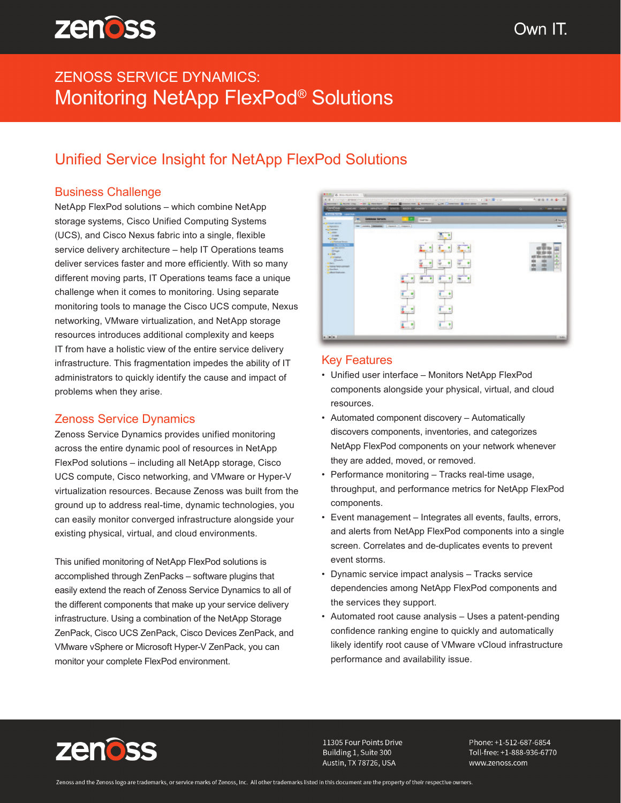# ZENOSS SERVICE DYNAMICS: Monitoring NetApp FlexPod® Solutions

## Unified Service Insight for NetApp FlexPod Solutions

### Business Challenge

NetApp FlexPod solutions – which combine NetApp storage systems, Cisco Unified Computing Systems (UCS), and Cisco Nexus fabric into a single, flexible service delivery architecture – help IT Operations teams deliver services faster and more efficiently. With so many different moving parts, IT Operations teams face a unique challenge when it comes to monitoring. Using separate monitoring tools to manage the Cisco UCS compute, Nexus networking, VMware virtualization, and NetApp storage resources introduces additional complexity and keeps IT from have a holistic view of the entire service delivery infrastructure. This fragmentation impedes the ability of IT administrators to quickly identify the cause and impact of problems when they arise.

### Zenoss Service Dynamics

Zenoss Service Dynamics provides unified monitoring across the entire dynamic pool of resources in NetApp FlexPod solutions – including all NetApp storage, Cisco UCS compute, Cisco networking, and VMware or Hyper-V virtualization resources. Because Zenoss was built from the ground up to address real-time, dynamic technologies, you can easily monitor converged infrastructure alongside your existing physical, virtual, and cloud environments.

This unified monitoring of NetApp FlexPod solutions is accomplished through ZenPacks – software plugins that easily extend the reach of Zenoss Service Dynamics to all of the different components that make up your service delivery infrastructure. Using a combination of the NetApp Storage ZenPack, Cisco UCS ZenPack, Cisco Devices ZenPack, and VMware vSphere or Microsoft Hyper-V ZenPack, you can monitor your complete FlexPod environment.



#### Key Features

- Unified user interface Monitors NetApp FlexPod components alongside your physical, virtual, and cloud resources.
- Automated component discovery Automatically discovers components, inventories, and categorizes NetApp FlexPod components on your network whenever they are added, moved, or removed.
- Performance monitoring Tracks real-time usage, throughput, and performance metrics for NetApp FlexPod components.
- Event management Integrates all events, faults, errors, and alerts from NetApp FlexPod components into a single screen. Correlates and de-duplicates events to prevent event storms.
- Dynamic service impact analysis Tracks service dependencies among NetApp FlexPod components and the services they support.
- Automated root cause analysis Uses a patent-pending confidence ranking engine to quickly and automatically likely identify root cause of VMware vCloud infrastructure performance and availability issue.



11305 Four Points Drive Building 1, Suite 300 Austin, TX 78726, USA

Phone: +1-512-687-6854 Toll-free: +1-888-936-6770 www.zenoss.com